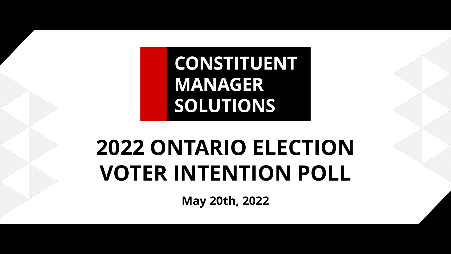**CONSTITUENT MANAGER SOLUTIONS** 

# **2022 ONTARIO ELECTION VOTER INTENTION POLL**

**May 20th, 2022**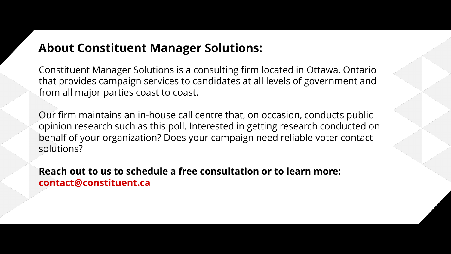### **About Constituent Manager Solutions:**

Constituent Manager Solutions is a consulting firm located in Ottawa, Ontario that provides campaign services to candidates at all levels of government and from all major parties coast to coast.

Our firm maintains an in-house call centre that, on occasion, conducts public opinion research such as this poll. Interested in getting research conducted on behalf of your organization? Does your campaign need reliable voter contact solutions?

**Reach out to us to schedule a free consultation or to learn more: [contact@constituent.ca](mailto:contact@constituent.ca?subject=Poll%20Inquiry)**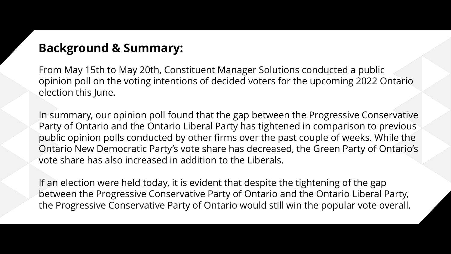#### **Background & Summary:**

From May 15th to May 20th, Constituent Manager Solutions conducted a public opinion poll on the voting intentions of decided voters for the upcoming 2022 Ontario election this June.

In summary, our opinion poll found that the gap between the Progressive Conservative Party of Ontario and the Ontario Liberal Party has tightened in comparison to previous public opinion polls conducted by other firms over the past couple of weeks. While the Ontario New Democratic Party's vote share has decreased, the Green Party of Ontario's vote share has also increased in addition to the Liberals.

If an election were held today, it is evident that despite the tightening of the gap between the Progressive Conservative Party of Ontario and the Ontario Liberal Party, the Progressive Conservative Party of Ontario would still win the popular vote overall.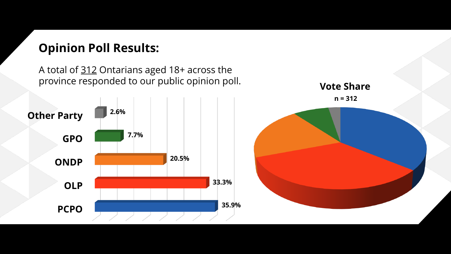## **Opinion Poll Results:**

A total of 312 Ontarians aged 18+ across the province responded to our public opinion poll.



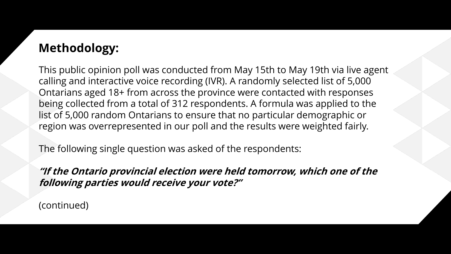# **Methodology:**

This public opinion poll was conducted from May 15th to May 19th via live agent calling and interactive voice recording (IVR). A randomly selected list of 5,000 Ontarians aged 18+ from across the province were contacted with responses being collected from a total of 312 respondents. A formula was applied to the list of 5,000 random Ontarians to ensure that no particular demographic or region was overrepresented in our poll and the results were weighted fairly.

The following single question was asked of the respondents:

**"If the Ontario provincial election were held tomorrow, which one of the following parties would receive your vote?"**

(continued)